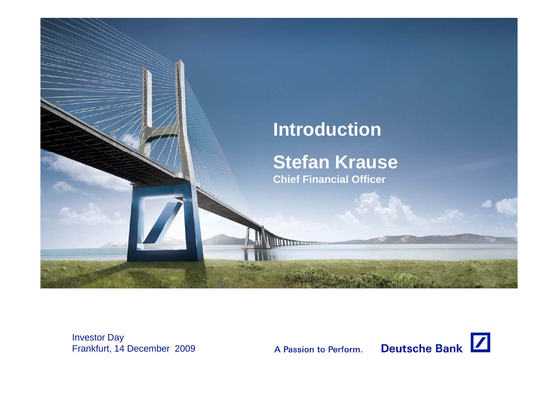

Investor Day Frankfurt, 14 December 2009

A Passion to Perform.

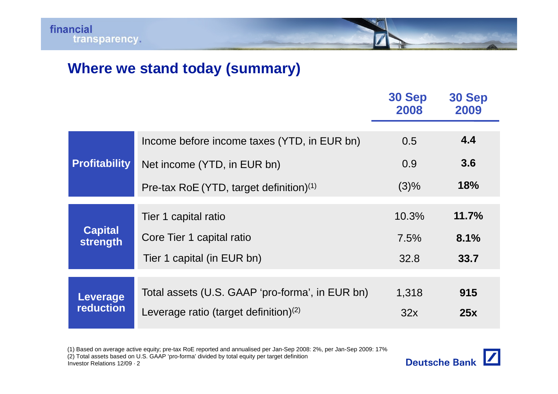## **Where we stand today (summary)**

|                                     |                                                 | 30 Sep<br>2008 | 30 Sep<br>2009 |
|-------------------------------------|-------------------------------------------------|----------------|----------------|
| <b>Profitability</b>                | Income before income taxes (YTD, in EUR bn)     | 0.5            | 4.4            |
|                                     | Net income (YTD, in EUR bn)                     | 0.9            | 3.6            |
|                                     | Pre-tax RoE (YTD, target definition) $(1)$      | $(3)\%$        | 18%            |
| <b>Capital</b><br>strength          | Tier 1 capital ratio                            | 10.3%          | 11.7%          |
|                                     | Core Tier 1 capital ratio                       | 7.5%           | 8.1%           |
|                                     | Tier 1 capital (in EUR bn)                      | 32.8           | 33.7           |
|                                     |                                                 |                |                |
| <b>Leverage</b><br><b>reduction</b> | Total assets (U.S. GAAP 'pro-forma', in EUR bn) | 1,318          | 915            |
|                                     | Leverage ratio (target definition) $(2)$        | 32x            | 25x            |

(1) Based on average active equity; pre-tax RoE reported and annualised per Jan-Sep 2008: 2%, per Jan-Sep 2009: 17%

(2) Total assets based on U.S. GAAP 'pro-forma' divided by total equity per target definition

Investor Relations 12/09 · 2

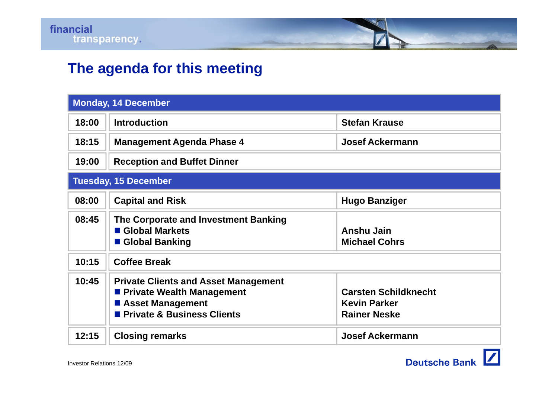

## **The agenda for this meeting**

| <b>Monday, 14 December</b>  |                                                                                                                                     |                                                                           |  |
|-----------------------------|-------------------------------------------------------------------------------------------------------------------------------------|---------------------------------------------------------------------------|--|
| 18:00                       | <b>Introduction</b>                                                                                                                 | <b>Stefan Krause</b>                                                      |  |
| 18:15                       | <b>Management Agenda Phase 4</b>                                                                                                    | <b>Josef Ackermann</b>                                                    |  |
| 19:00                       | <b>Reception and Buffet Dinner</b>                                                                                                  |                                                                           |  |
| <b>Tuesday, 15 December</b> |                                                                                                                                     |                                                                           |  |
| 08:00                       | <b>Capital and Risk</b>                                                                                                             | <b>Hugo Banziger</b>                                                      |  |
| 08:45                       | The Corporate and Investment Banking<br>Global Markets<br>■ Global Banking                                                          | <b>Anshu Jain</b><br><b>Michael Cohrs</b>                                 |  |
| 10:15                       | <b>Coffee Break</b>                                                                                                                 |                                                                           |  |
| 10:45                       | <b>Private Clients and Asset Management</b><br><b>Private Wealth Management</b><br>■ Asset Management<br>Private & Business Clients | <b>Carsten Schildknecht</b><br><b>Kevin Parker</b><br><b>Rainer Neske</b> |  |
| 12:15                       | <b>Closing remarks</b>                                                                                                              | <b>Josef Ackermann</b>                                                    |  |

Deutsche Bank